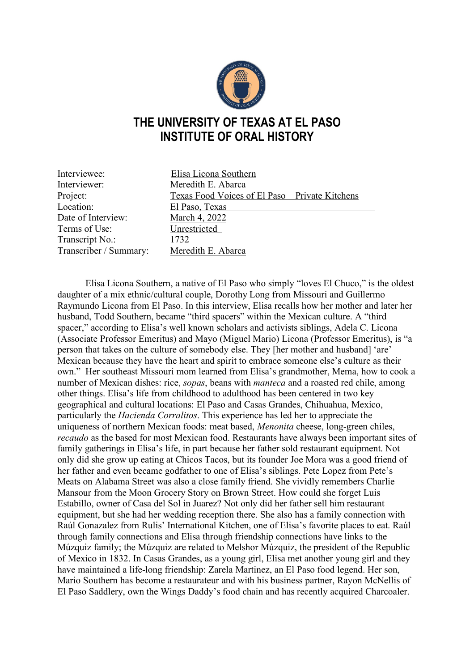

## **THE UNIVERSITY OF TEXAS AT EL PASO INSTITUTE OF ORAL HISTORY**

| Interviewee:           | Elisa Licona Southern                         |
|------------------------|-----------------------------------------------|
| Interviewer:           | Meredith E. Abarca                            |
| Project:               | Texas Food Voices of El Paso Private Kitchens |
| Location:              | El Paso, Texas                                |
| Date of Interview:     | March 4, 2022                                 |
| Terms of Use:          | Unrestricted                                  |
| Transcript No.:        | 1732                                          |
| Transcriber / Summary: | Meredith E. Abarca                            |

Elisa Licona Southern, a native of El Paso who simply "loves El Chuco," is the oldest daughter of a mix ethnic/cultural couple, Dorothy Long from Missouri and Guillermo Raymundo Licona from El Paso. In this interview, Elisa recalls how her mother and later her husband, Todd Southern, became "third spacers" within the Mexican culture. A "third spacer," according to Elisa's well known scholars and activists siblings, Adela C. Licona (Associate Professor Emeritus) and Mayo (Miguel Mario) Licona (Professor Emeritus), is "a person that takes on the culture of somebody else. They [her mother and husband] 'are' Mexican because they have the heart and spirit to embrace someone else's culture as their own." Her southeast Missouri mom learned from Elisa's grandmother, Mema, how to cook a number of Mexican dishes: rice, *sopas*, beans with *manteca* and a roasted red chile, among other things. Elisa's life from childhood to adulthood has been centered in two key geographical and cultural locations: El Paso and Casas Grandes, Chihuahua, Mexico, particularly the *Hacienda Corralitos*. This experience has led her to appreciate the uniqueness of northern Mexican foods: meat based, *Menonita* cheese, long-green chiles, *recaudo* as the based for most Mexican food. Restaurants have always been important sites of family gatherings in Elisa's life, in part because her father sold restaurant equipment. Not only did she grow up eating at Chicos Tacos, but its founder Joe Mora was a good friend of her father and even became godfather to one of Elisa's siblings. Pete Lopez from Pete's Meats on Alabama Street was also a close family friend. She vividly remembers Charlie Mansour from the Moon Grocery Story on Brown Street. How could she forget Luis Estabillo, owner of Casa del Sol in Juarez? Not only did her father sell him restaurant equipment, but she had her wedding reception there. She also has a family connection with Raúl Gonazalez from Rulis' International Kitchen, one of Elisa's favorite places to eat. Raúl through family connections and Elisa through friendship connections have links to the Múzquiz family; the Múzquiz are related to Melshor Múzquiz, the president of the Republic of Mexico in 1832. In Casas Grandes, as a young girl, Elisa met another young girl and they have maintained a life-long friendship: Zarela Martinez, an El Paso food legend. Her son, Mario Southern has become a restaurateur and with his business partner, Rayon McNellis of El Paso Saddlery, own the Wings Daddy's food chain and has recently acquired Charcoaler.